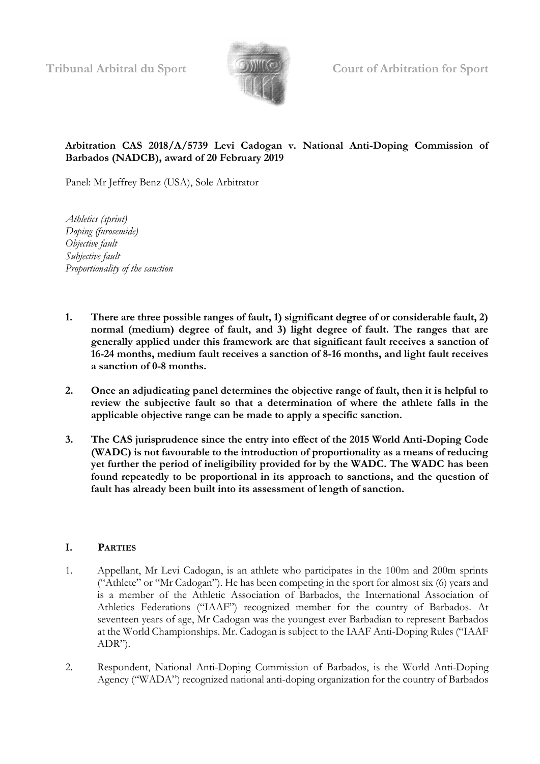

**Tribunal Arbitral du Sport Court of Arbitration for Sport**

## **Arbitration CAS 2018/A/5739 Levi Cadogan v. National Anti-Doping Commission of Barbados (NADCB), award of 20 February 2019**

Panel: Mr Jeffrey Benz (USA), Sole Arbitrator

*Athletics (sprint) Doping (furosemide) Objective fault Subjective fault Proportionality of the sanction*

- **1. There are three possible ranges of fault, 1) significant degree of or considerable fault, 2) normal (medium) degree of fault, and 3) light degree of fault. The ranges that are generally applied under this framework are that significant fault receives a sanction of 16-24 months, medium fault receives a sanction of 8-16 months, and light fault receives a sanction of 0-8 months.**
- **2. Once an adjudicating panel determines the objective range of fault, then it is helpful to review the subjective fault so that a determination of where the athlete falls in the applicable objective range can be made to apply a specific sanction.**
- **3. The CAS jurisprudence since the entry into effect of the 2015 World Anti-Doping Code (WADC) is not favourable to the introduction of proportionality as a means of reducing yet further the period of ineligibility provided for by the WADC. The WADC has been found repeatedly to be proportional in its approach to sanctions, and the question of fault has already been built into its assessment of length of sanction.**

### **I. PARTIES**

- 1. Appellant, Mr Levi Cadogan, is an athlete who participates in the 100m and 200m sprints ("Athlete" or "Mr Cadogan"). He has been competing in the sport for almost six (6) years and is a member of the Athletic Association of Barbados, the International Association of Athletics Federations ("IAAF") recognized member for the country of Barbados. At seventeen years of age, Mr Cadogan was the youngest ever Barbadian to represent Barbados at the World Championships. Mr. Cadogan is subject to the IAAF Anti-Doping Rules ("IAAF ADR").
- 2. Respondent, National Anti-Doping Commission of Barbados, is the World Anti-Doping Agency ("WADA") recognized national anti-doping organization for the country of Barbados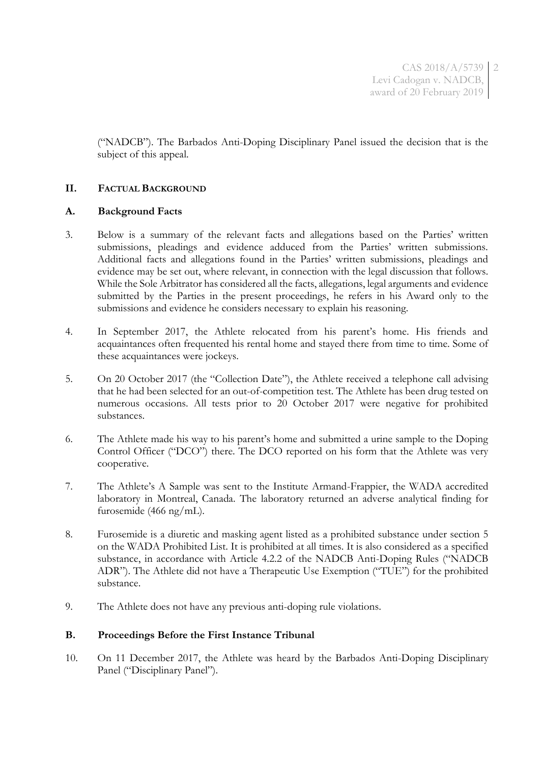CAS 2018/A/5739 2 Levi Cadogan v. NADCB, award of 20 February 2019

("NADCB"). The Barbados Anti-Doping Disciplinary Panel issued the decision that is the subject of this appeal.

### **II. FACTUAL BACKGROUND**

#### **A. Background Facts**

- 3. Below is a summary of the relevant facts and allegations based on the Parties' written submissions, pleadings and evidence adduced from the Parties' written submissions. Additional facts and allegations found in the Parties' written submissions, pleadings and evidence may be set out, where relevant, in connection with the legal discussion that follows. While the Sole Arbitrator has considered all the facts, allegations, legal arguments and evidence submitted by the Parties in the present proceedings, he refers in his Award only to the submissions and evidence he considers necessary to explain his reasoning.
- 4. In September 2017, the Athlete relocated from his parent's home. His friends and acquaintances often frequented his rental home and stayed there from time to time. Some of these acquaintances were jockeys.
- 5. On 20 October 2017 (the "Collection Date"), the Athlete received a telephone call advising that he had been selected for an out-of-competition test. The Athlete has been drug tested on numerous occasions. All tests prior to 20 October 2017 were negative for prohibited substances.
- 6. The Athlete made his way to his parent's home and submitted a urine sample to the Doping Control Officer ("DCO") there. The DCO reported on his form that the Athlete was very cooperative.
- 7. The Athlete's A Sample was sent to the Institute Armand-Frappier, the WADA accredited laboratory in Montreal, Canada. The laboratory returned an adverse analytical finding for furosemide (466 ng/mL).
- 8. Furosemide is a diuretic and masking agent listed as a prohibited substance under section 5 on the WADA Prohibited List. It is prohibited at all times. It is also considered as a specified substance, in accordance with Article 4.2.2 of the NADCB Anti-Doping Rules ("NADCB ADR"). The Athlete did not have a Therapeutic Use Exemption ("TUE") for the prohibited substance.
- 9. The Athlete does not have any previous anti-doping rule violations.

#### **B. Proceedings Before the First Instance Tribunal**

10. On 11 December 2017, the Athlete was heard by the Barbados Anti-Doping Disciplinary Panel ("Disciplinary Panel").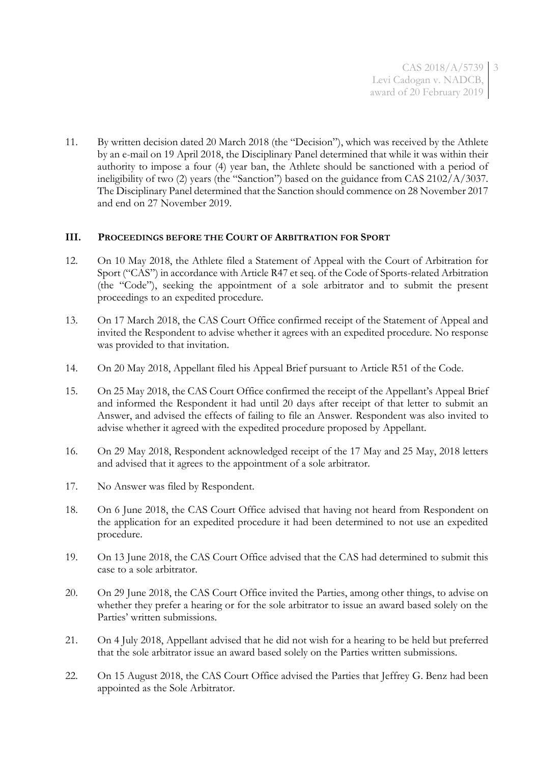11. By written decision dated 20 March 2018 (the "Decision"), which was received by the Athlete by an e-mail on 19 April 2018, the Disciplinary Panel determined that while it was within their authority to impose a four (4) year ban, the Athlete should be sanctioned with a period of ineligibility of two (2) years (the "Sanction") based on the guidance from CAS 2102/A/3037. The Disciplinary Panel determined that the Sanction should commence on 28 November 2017 and end on 27 November 2019.

### **III. PROCEEDINGS BEFORE THE COURT OF ARBITRATION FOR SPORT**

- 12. On 10 May 2018, the Athlete filed a Statement of Appeal with the Court of Arbitration for Sport ("CAS") in accordance with Article R47 et seq. of the Code of Sports-related Arbitration (the "Code"), seeking the appointment of a sole arbitrator and to submit the present proceedings to an expedited procedure.
- 13. On 17 March 2018, the CAS Court Office confirmed receipt of the Statement of Appeal and invited the Respondent to advise whether it agrees with an expedited procedure. No response was provided to that invitation.
- 14. On 20 May 2018, Appellant filed his Appeal Brief pursuant to Article R51 of the Code.
- 15. On 25 May 2018, the CAS Court Office confirmed the receipt of the Appellant's Appeal Brief and informed the Respondent it had until 20 days after receipt of that letter to submit an Answer, and advised the effects of failing to file an Answer. Respondent was also invited to advise whether it agreed with the expedited procedure proposed by Appellant.
- 16. On 29 May 2018, Respondent acknowledged receipt of the 17 May and 25 May, 2018 letters and advised that it agrees to the appointment of a sole arbitrator.
- 17. No Answer was filed by Respondent.
- 18. On 6 June 2018, the CAS Court Office advised that having not heard from Respondent on the application for an expedited procedure it had been determined to not use an expedited procedure.
- 19. On 13 June 2018, the CAS Court Office advised that the CAS had determined to submit this case to a sole arbitrator.
- 20. On 29 June 2018, the CAS Court Office invited the Parties, among other things, to advise on whether they prefer a hearing or for the sole arbitrator to issue an award based solely on the Parties' written submissions.
- 21. On 4 July 2018, Appellant advised that he did not wish for a hearing to be held but preferred that the sole arbitrator issue an award based solely on the Parties written submissions.
- 22. On 15 August 2018, the CAS Court Office advised the Parties that Jeffrey G. Benz had been appointed as the Sole Arbitrator.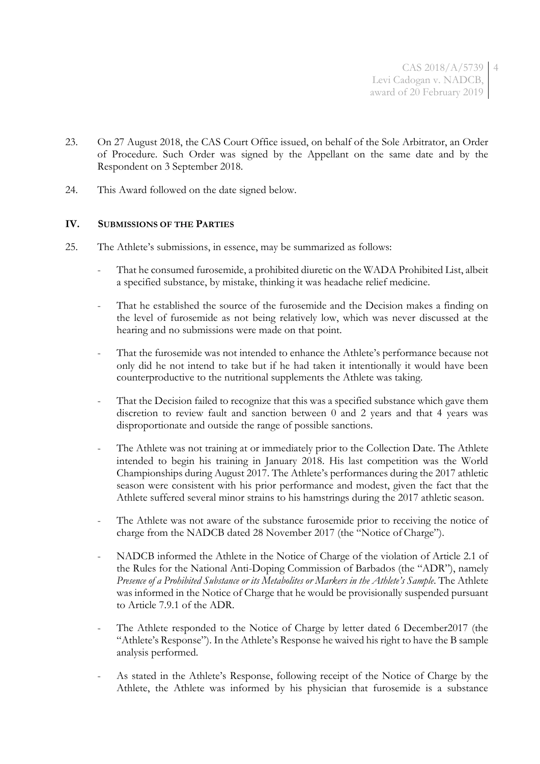CAS 2018/A/5739 4 Levi Cadogan v. NADCB, award of 20 February 2019

- 23. On 27 August 2018, the CAS Court Office issued, on behalf of the Sole Arbitrator, an Order of Procedure. Such Order was signed by the Appellant on the same date and by the Respondent on 3 September 2018.
- 24. This Award followed on the date signed below.

### **IV. SUBMISSIONS OF THE PARTIES**

- 25. The Athlete's submissions, in essence, may be summarized as follows:
	- That he consumed furosemide, a prohibited diuretic on the WADA Prohibited List, albeit a specified substance, by mistake, thinking it was headache relief medicine.
	- That he established the source of the furosemide and the Decision makes a finding on the level of furosemide as not being relatively low, which was never discussed at the hearing and no submissions were made on that point.
	- That the furosemide was not intended to enhance the Athlete's performance because not only did he not intend to take but if he had taken it intentionally it would have been counterproductive to the nutritional supplements the Athlete was taking.
	- That the Decision failed to recognize that this was a specified substance which gave them discretion to review fault and sanction between 0 and 2 years and that 4 years was disproportionate and outside the range of possible sanctions.
	- The Athlete was not training at or immediately prior to the Collection Date. The Athlete intended to begin his training in January 2018. His last competition was the World Championships during August 2017. The Athlete's performances during the 2017 athletic season were consistent with his prior performance and modest, given the fact that the Athlete suffered several minor strains to his hamstrings during the 2017 athletic season.
	- The Athlete was not aware of the substance furosemide prior to receiving the notice of charge from the NADCB dated 28 November 2017 (the "Notice of Charge").
	- NADCB informed the Athlete in the Notice of Charge of the violation of Article 2.1 of the Rules for the National Anti-Doping Commission of Barbados (the "ADR"), namely *Presence of a Prohibited Substance or its Metabolites or Markers in the Athlete's Sample*. The Athlete was informed in the Notice of Charge that he would be provisionally suspended pursuant to Article 7.9.1 of the ADR.
	- The Athlete responded to the Notice of Charge by letter dated 6 December2017 (the "Athlete's Response"). In the Athlete's Response he waived his right to have the B sample analysis performed.
	- As stated in the Athlete's Response, following receipt of the Notice of Charge by the Athlete, the Athlete was informed by his physician that furosemide is a substance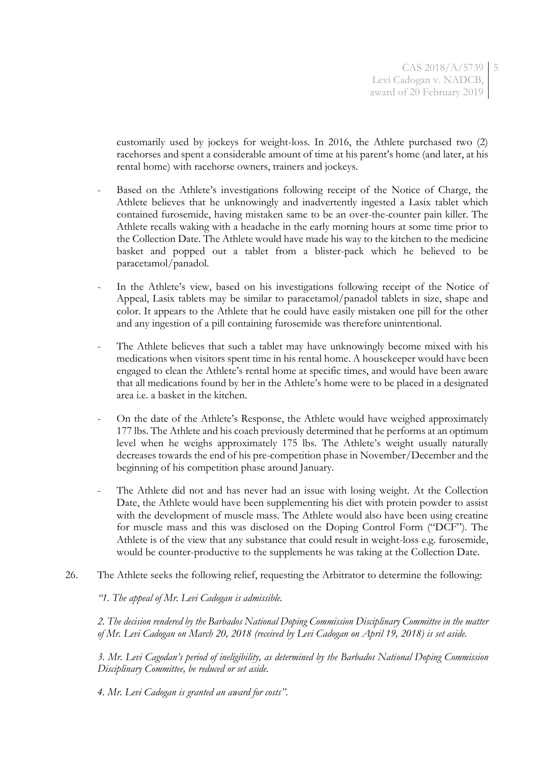customarily used by jockeys for weight-loss. In 2016, the Athlete purchased two (2) racehorses and spent a considerable amount of time at his parent's home (and later, at his rental home) with racehorse owners, trainers and jockeys.

- Based on the Athlete's investigations following receipt of the Notice of Charge, the Athlete believes that he unknowingly and inadvertently ingested a Lasix tablet which contained furosemide, having mistaken same to be an over-the-counter pain killer. The Athlete recalls waking with a headache in the early morning hours at some time prior to the Collection Date. The Athlete would have made his way to the kitchen to the medicine basket and popped out a tablet from a blister-pack which he believed to be paracetamol/panadol.
- In the Athlete's view, based on his investigations following receipt of the Notice of Appeal, Lasix tablets may be similar to paracetamol/panadol tablets in size, shape and color. It appears to the Athlete that he could have easily mistaken one pill for the other and any ingestion of a pill containing furosemide was therefore unintentional.
- The Athlete believes that such a tablet may have unknowingly become mixed with his medications when visitors spent time in his rental home. A housekeeper would have been engaged to clean the Athlete's rental home at specific times, and would have been aware that all medications found by her in the Athlete's home were to be placed in a designated area i.e. a basket in the kitchen.
- On the date of the Athlete's Response, the Athlete would have weighed approximately 177 lbs. The Athlete and his coach previously determined that he performs at an optimum level when he weighs approximately 175 lbs. The Athlete's weight usually naturally decreases towards the end of his pre-competition phase in November/December and the beginning of his competition phase around January.
- The Athlete did not and has never had an issue with losing weight. At the Collection Date, the Athlete would have been supplementing his diet with protein powder to assist with the development of muscle mass. The Athlete would also have been using creatine for muscle mass and this was disclosed on the Doping Control Form ("DCF"). The Athlete is of the view that any substance that could result in weight-loss e.g. furosemide, would be counter-productive to the supplements he was taking at the Collection Date.
- 26. The Athlete seeks the following relief, requesting the Arbitrator to determine the following:

*"1. The appeal of Mr. Levi Cadogan is admissible.*

*2. The decision rendered by the Barbados National Doping Commission Disciplinary Committee in the matter of Mr. Levi Cadogan on March 20, 2018 (received by Levi Cadogan on April 19, 2018) is set aside.*

*3. Mr. Levi Cagodan's period of ineligibility, as determined by the Barbados National Doping Commission Disciplinary Committee, be reduced or set aside.*

*4. Mr. Levi Cadogan is granted an award for costs"*.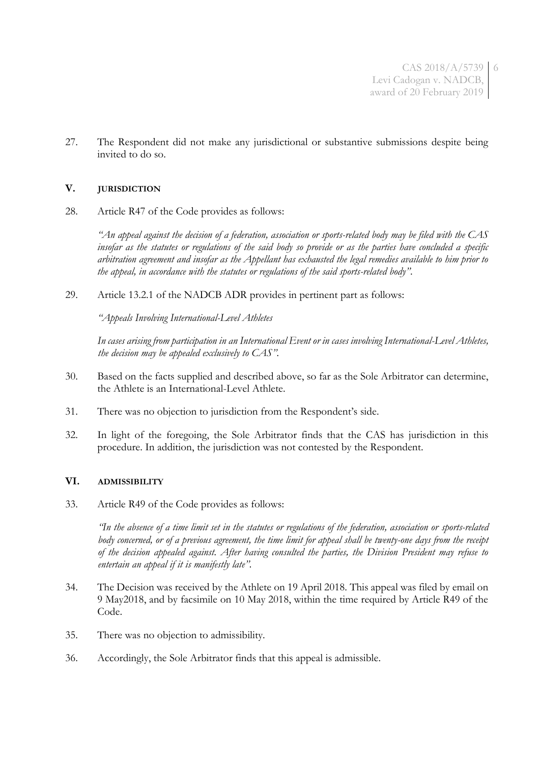CAS 2018/A/5739 6 Levi Cadogan v. NADCB, award of 20 February 2019

27. The Respondent did not make any jurisdictional or substantive submissions despite being invited to do so.

### **V. JURISDICTION**

28. Article R47 of the Code provides as follows:

*"An appeal against the decision of a federation, association or sports-related body may be filed with the CAS insofar as the statutes or regulations of the said body so provide or as the parties have concluded a specific arbitration agreement and insofar as the Appellant has exhausted the legal remedies available to him prior to the appeal, in accordance with the statutes or regulations of the said sports-related body"*.

29. Article 13.2.1 of the NADCB ADR provides in pertinent part as follows:

*"Appeals Involving International-Level Athletes*

*In cases arising from participation in an International Event or in cases involving International-Level Athletes, the decision may be appealed exclusively to CAS".*

- 30. Based on the facts supplied and described above, so far as the Sole Arbitrator can determine, the Athlete is an International-Level Athlete.
- 31. There was no objection to jurisdiction from the Respondent's side.
- 32. In light of the foregoing, the Sole Arbitrator finds that the CAS has jurisdiction in this procedure. In addition, the jurisdiction was not contested by the Respondent.

#### **VI. ADMISSIBILITY**

33. Article R49 of the Code provides as follows:

*"In the absence of a time limit set in the statutes or regulations of the federation, association or sports-related body concerned, or of a previous agreement, the time limit for appeal shall be twenty-one days from the receipt of the decision appealed against. After having consulted the parties, the Division President may refuse to entertain an appeal if it is manifestly late".*

- 34. The Decision was received by the Athlete on 19 April 2018. This appeal was filed by email on 9 May2018, and by facsimile on 10 May 2018, within the time required by Article R49 of the Code.
- 35. There was no objection to admissibility.
- 36. Accordingly, the Sole Arbitrator finds that this appeal is admissible.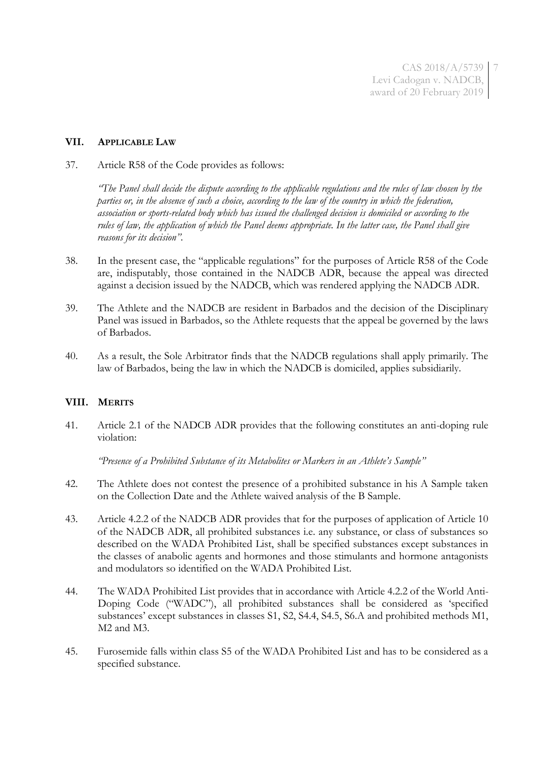CAS 2018/A/5739 7 Levi Cadogan v. NADCB, award of 20 February 2019

#### **VII. APPLICABLE LAW**

37. Article R58 of the Code provides as follows:

*"The Panel shall decide the dispute according to the applicable regulations and the rules of law chosen by the parties or, in the absence of such a choice, according to the law of the country in which the federation, association or sports-related body which has issued the challenged decision is domiciled or according to the rules of law, the application of which the Panel deems appropriate. In the latter case, the Panel shall give reasons for its decision".*

- 38. In the present case, the "applicable regulations" for the purposes of Article R58 of the Code are, indisputably, those contained in the NADCB ADR, because the appeal was directed against a decision issued by the NADCB, which was rendered applying the NADCB ADR.
- 39. The Athlete and the NADCB are resident in Barbados and the decision of the Disciplinary Panel was issued in Barbados, so the Athlete requests that the appeal be governed by the laws of Barbados.
- 40. As a result, the Sole Arbitrator finds that the NADCB regulations shall apply primarily. The law of Barbados, being the law in which the NADCB is domiciled, applies subsidiarily.

### **VIII. MERITS**

41. Article 2.1 of the NADCB ADR provides that the following constitutes an anti-doping rule violation:

*"Presence of a Prohibited Substance of its Metabolites or Markers in an Athlete's Sample"*

- 42. The Athlete does not contest the presence of a prohibited substance in his A Sample taken on the Collection Date and the Athlete waived analysis of the B Sample.
- 43. Article 4.2.2 of the NADCB ADR provides that for the purposes of application of Article 10 of the NADCB ADR, all prohibited substances i.e. any substance, or class of substances so described on the WADA Prohibited List, shall be specified substances except substances in the classes of anabolic agents and hormones and those stimulants and hormone antagonists and modulators so identified on the WADA Prohibited List.
- 44. The WADA Prohibited List provides that in accordance with Article 4.2.2 of the World Anti-Doping Code ("WADC"), all prohibited substances shall be considered as 'specified substances' except substances in classes S1, S2, S4.4, S4.5, S6.A and prohibited methods M1, M2 and M3.
- 45. Furosemide falls within class S5 of the WADA Prohibited List and has to be considered as a specified substance.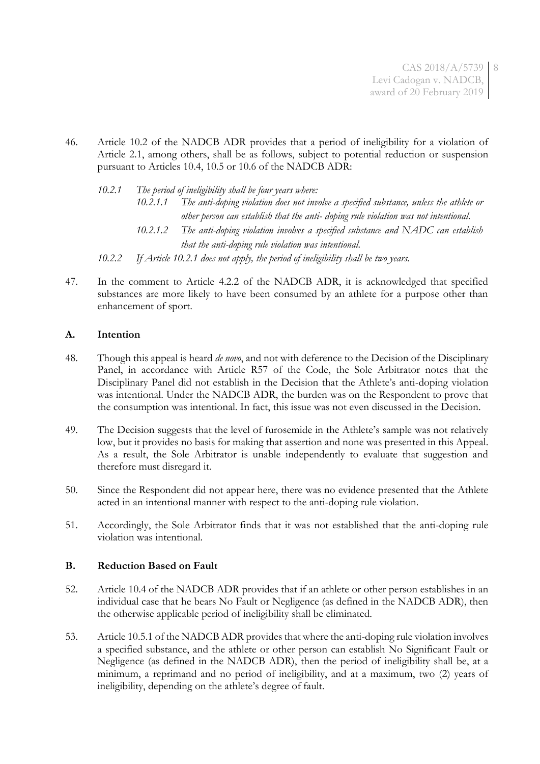CAS 2018/A/5739 8 Levi Cadogan v. NADCB, award of 20 February 2019

46. Article 10.2 of the NADCB ADR provides that a period of ineligibility for a violation of Article 2.1, among others, shall be as follows, subject to potential reduction or suspension pursuant to Articles 10.4, 10.5 or 10.6 of the NADCB ADR:

*10.2.1 The period of ineligibility shall be four years where: 10.2.1.1 The anti-doping violation does not involve a specified substance, unless the athlete or other person can establish that the anti- doping rule violation was not intentional. 10.2.1.2 The anti-doping violation involves a specified substance and NADC can establish that the anti-doping rule violation was intentional. 10.2.2 If Article 10.2.1 does not apply, the period of ineligibility shall be two years.*

47. In the comment to Article 4.2.2 of the NADCB ADR, it is acknowledged that specified substances are more likely to have been consumed by an athlete for a purpose other than enhancement of sport.

# **A. Intention**

- 48. Though this appeal is heard *de novo*, and not with deference to the Decision of the Disciplinary Panel, in accordance with Article R57 of the Code, the Sole Arbitrator notes that the Disciplinary Panel did not establish in the Decision that the Athlete's anti-doping violation was intentional. Under the NADCB ADR, the burden was on the Respondent to prove that the consumption was intentional. In fact, this issue was not even discussed in the Decision.
- 49. The Decision suggests that the level of furosemide in the Athlete's sample was not relatively low, but it provides no basis for making that assertion and none was presented in this Appeal. As a result, the Sole Arbitrator is unable independently to evaluate that suggestion and therefore must disregard it.
- 50. Since the Respondent did not appear here, there was no evidence presented that the Athlete acted in an intentional manner with respect to the anti-doping rule violation.
- 51. Accordingly, the Sole Arbitrator finds that it was not established that the anti-doping rule violation was intentional.

### **B. Reduction Based on Fault**

- 52. Article 10.4 of the NADCB ADR provides that if an athlete or other person establishes in an individual case that he bears No Fault or Negligence (as defined in the NADCB ADR), then the otherwise applicable period of ineligibility shall be eliminated.
- 53. Article 10.5.1 of the NADCB ADR provides that where the anti-doping rule violation involves a specified substance, and the athlete or other person can establish No Significant Fault or Negligence (as defined in the NADCB ADR), then the period of ineligibility shall be, at a minimum, a reprimand and no period of ineligibility, and at a maximum, two (2) years of ineligibility, depending on the athlete's degree of fault.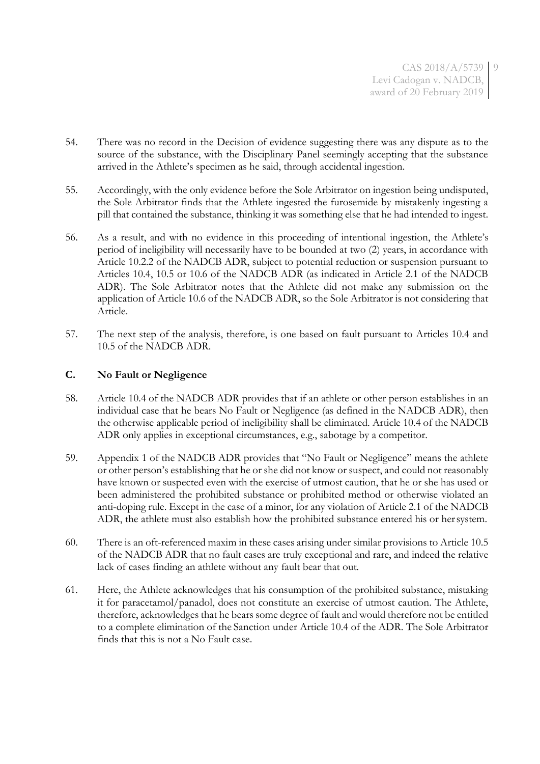CAS 2018/A/5739 9 Levi Cadogan v. NADCB, award of 20 February 2019

- 54. There was no record in the Decision of evidence suggesting there was any dispute as to the source of the substance, with the Disciplinary Panel seemingly accepting that the substance arrived in the Athlete's specimen as he said, through accidental ingestion.
- 55. Accordingly, with the only evidence before the Sole Arbitrator on ingestion being undisputed, the Sole Arbitrator finds that the Athlete ingested the furosemide by mistakenly ingesting a pill that contained the substance, thinking it was something else that he had intended to ingest.
- 56. As a result, and with no evidence in this proceeding of intentional ingestion, the Athlete's period of ineligibility will necessarily have to be bounded at two (2) years, in accordance with Article 10.2.2 of the NADCB ADR, subject to potential reduction or suspension pursuant to Articles 10.4, 10.5 or 10.6 of the NADCB ADR (as indicated in Article 2.1 of the NADCB ADR). The Sole Arbitrator notes that the Athlete did not make any submission on the application of Article 10.6 of the NADCB ADR, so the Sole Arbitrator is not considering that Article.
- 57. The next step of the analysis, therefore, is one based on fault pursuant to Articles 10.4 and 10.5 of the NADCB ADR.

### **C. No Fault or Negligence**

- 58. Article 10.4 of the NADCB ADR provides that if an athlete or other person establishes in an individual case that he bears No Fault or Negligence (as defined in the NADCB ADR), then the otherwise applicable period of ineligibility shall be eliminated. Article 10.4 of the NADCB ADR only applies in exceptional circumstances, e.g., sabotage by a competitor.
- 59. Appendix 1 of the NADCB ADR provides that "No Fault or Negligence" means the athlete or other person's establishing that he or she did not know or suspect, and could not reasonably have known or suspected even with the exercise of utmost caution, that he or she has used or been administered the prohibited substance or prohibited method or otherwise violated an anti-doping rule. Except in the case of a minor, for any violation of Article 2.1 of the NADCB ADR, the athlete must also establish how the prohibited substance entered his or hersystem.
- 60. There is an oft-referenced maxim in these cases arising under similar provisions to Article 10.5 of the NADCB ADR that no fault cases are truly exceptional and rare, and indeed the relative lack of cases finding an athlete without any fault bear that out.
- 61. Here, the Athlete acknowledges that his consumption of the prohibited substance, mistaking it for paracetamol/panadol, does not constitute an exercise of utmost caution. The Athlete, therefore, acknowledges that he bears some degree of fault and would therefore not be entitled to a complete elimination of the Sanction under Article 10.4 of the ADR. The Sole Arbitrator finds that this is not a No Fault case.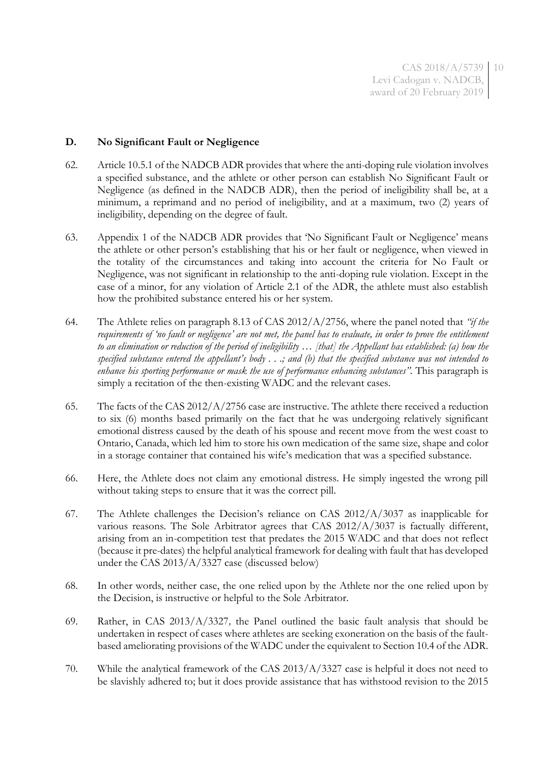### **D. No Significant Fault or Negligence**

- 62. Article 10.5.1 of the NADCB ADR provides that where the anti-doping rule violation involves a specified substance, and the athlete or other person can establish No Significant Fault or Negligence (as defined in the NADCB ADR), then the period of ineligibility shall be, at a minimum, a reprimand and no period of ineligibility, and at a maximum, two (2) years of ineligibility, depending on the degree of fault.
- 63. Appendix 1 of the NADCB ADR provides that 'No Significant Fault or Negligence' means the athlete or other person's establishing that his or her fault or negligence, when viewed in the totality of the circumstances and taking into account the criteria for No Fault or Negligence, was not significant in relationship to the anti-doping rule violation. Except in the case of a minor, for any violation of Article 2.1 of the ADR, the athlete must also establish how the prohibited substance entered his or her system.
- 64. The Athlete relies on paragraph 8.13 of CAS 2012/A/2756, where the panel noted that *"if the requirements of 'no fault or negligence' are not met, the panel has to evaluate, in order to prove the entitlement to an elimination or reduction of the period of ineligibility … [that] the Appellant has established: (a) how the specified substance entered the appellant's body . . .; and (b) that the specified substance was not intended to enhance his sporting performance or mask the use of performance enhancing substances".* This paragraph is simply a recitation of the then-existing WADC and the relevant cases.
- 65. The facts of the CAS 2012/A/2756 case are instructive. The athlete there received a reduction to six (6) months based primarily on the fact that he was undergoing relatively significant emotional distress caused by the death of his spouse and recent move from the west coast to Ontario, Canada, which led him to store his own medication of the same size, shape and color in a storage container that contained his wife's medication that was a specified substance.
- 66. Here, the Athlete does not claim any emotional distress. He simply ingested the wrong pill without taking steps to ensure that it was the correct pill.
- 67. The Athlete challenges the Decision's reliance on CAS 2012/A/3037 as inapplicable for various reasons. The Sole Arbitrator agrees that CAS 2012/A/3037 is factually different, arising from an in-competition test that predates the 2015 WADC and that does not reflect (because it pre-dates) the helpful analytical framework for dealing with fault that has developed under the CAS 2013/A/3327 case (discussed below)
- 68. In other words, neither case, the one relied upon by the Athlete nor the one relied upon by the Decision, is instructive or helpful to the Sole Arbitrator.
- 69. Rather, in CAS 2013/A/3327*,* the Panel outlined the basic fault analysis that should be undertaken in respect of cases where athletes are seeking exoneration on the basis of the faultbased ameliorating provisions of the WADC under the equivalent to Section 10.4 of the ADR.
- 70. While the analytical framework of the CAS 2013/A/3327 case is helpful it does not need to be slavishly adhered to; but it does provide assistance that has withstood revision to the 2015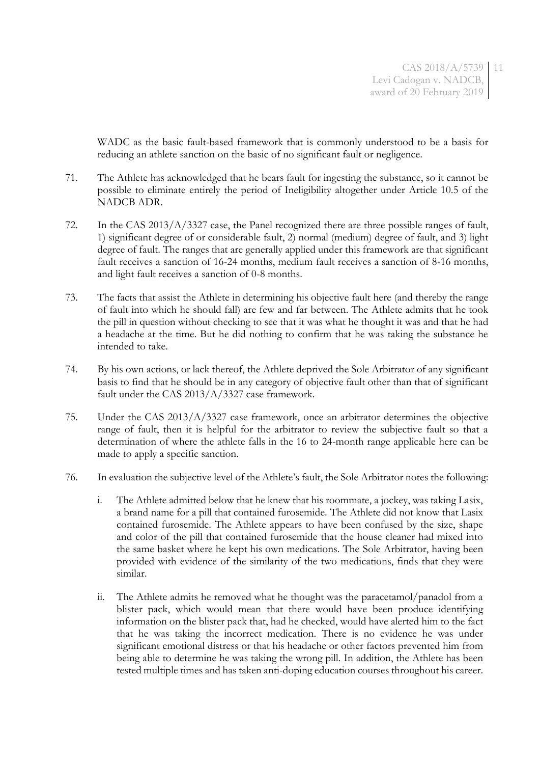WADC as the basic fault-based framework that is commonly understood to be a basis for reducing an athlete sanction on the basic of no significant fault or negligence.

- 71. The Athlete has acknowledged that he bears fault for ingesting the substance, so it cannot be possible to eliminate entirely the period of Ineligibility altogether under Article 10.5 of the NADCB ADR.
- 72. In the CAS 2013/A/3327 case, the Panel recognized there are three possible ranges of fault, 1) significant degree of or considerable fault, 2) normal (medium) degree of fault, and 3) light degree of fault. The ranges that are generally applied under this framework are that significant fault receives a sanction of 16-24 months, medium fault receives a sanction of 8-16 months, and light fault receives a sanction of 0-8 months.
- 73. The facts that assist the Athlete in determining his objective fault here (and thereby the range of fault into which he should fall) are few and far between. The Athlete admits that he took the pill in question without checking to see that it was what he thought it was and that he had a headache at the time. But he did nothing to confirm that he was taking the substance he intended to take.
- 74. By his own actions, or lack thereof, the Athlete deprived the Sole Arbitrator of any significant basis to find that he should be in any category of objective fault other than that of significant fault under the CAS 2013/A/3327 case framework.
- 75. Under the CAS 2013/A/3327 case framework, once an arbitrator determines the objective range of fault, then it is helpful for the arbitrator to review the subjective fault so that a determination of where the athlete falls in the 16 to 24-month range applicable here can be made to apply a specific sanction.
- 76. In evaluation the subjective level of the Athlete's fault, the Sole Arbitrator notes the following:
	- i. The Athlete admitted below that he knew that his roommate, a jockey, was taking Lasix, a brand name for a pill that contained furosemide. The Athlete did not know that Lasix contained furosemide. The Athlete appears to have been confused by the size, shape and color of the pill that contained furosemide that the house cleaner had mixed into the same basket where he kept his own medications. The Sole Arbitrator, having been provided with evidence of the similarity of the two medications, finds that they were similar.
	- ii. The Athlete admits he removed what he thought was the paracetamol/panadol from a blister pack, which would mean that there would have been produce identifying information on the blister pack that, had he checked, would have alerted him to the fact that he was taking the incorrect medication. There is no evidence he was under significant emotional distress or that his headache or other factors prevented him from being able to determine he was taking the wrong pill. In addition, the Athlete has been tested multiple times and has taken anti-doping education courses throughout his career.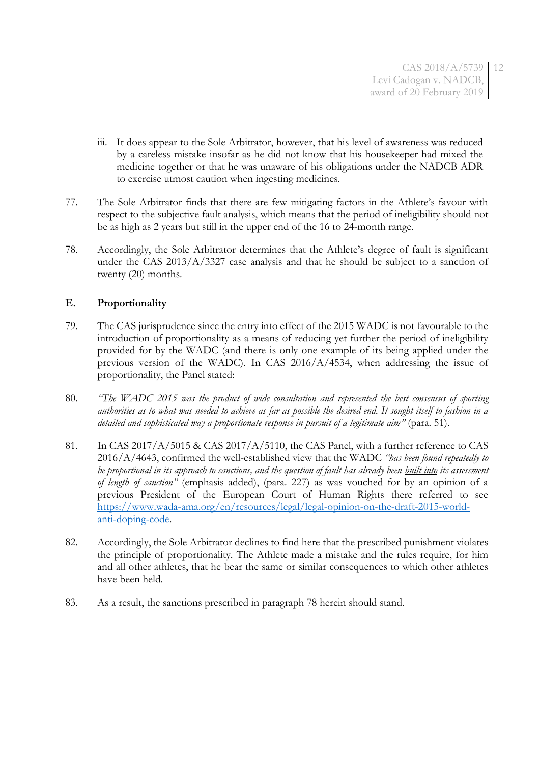- iii. It does appear to the Sole Arbitrator, however, that his level of awareness was reduced by a careless mistake insofar as he did not know that his housekeeper had mixed the medicine together or that he was unaware of his obligations under the NADCB ADR to exercise utmost caution when ingesting medicines.
- 77. The Sole Arbitrator finds that there are few mitigating factors in the Athlete's favour with respect to the subjective fault analysis, which means that the period of ineligibility should not be as high as 2 years but still in the upper end of the 16 to 24-month range.
- 78. Accordingly, the Sole Arbitrator determines that the Athlete's degree of fault is significant under the CAS 2013/A/3327 case analysis and that he should be subject to a sanction of twenty (20) months.

# **E. Proportionality**

- 79. The CAS jurisprudence since the entry into effect of the 2015 WADC is not favourable to the introduction of proportionality as a means of reducing yet further the period of ineligibility provided for by the WADC (and there is only one example of its being applied under the previous version of the WADC). In CAS 2016/A/4534, when addressing the issue of proportionality, the Panel stated:
- 80. *"The WADC 2015 was the product of wide consultation and represented the best consensus of sporting authorities as to what was needed to achieve as far as possible the desired end. It sought itself to fashion in a detailed and sophisticated way a proportionate response in pursuit of a legitimate aim"* (para. 51).
- 81. In CAS 2017/A/5015 & CAS 2017/A/5110, the CAS Panel, with a further reference to CAS 2016/A/4643, confirmed the well-established view that the WADC *"has been found repeatedly to be proportional in its approach to sanctions, and the question of fault has already been built into its assessment of length of sanction"* (emphasis added), (para. 227) as was vouched for by an opinion of a previous President of the European Court of Human Rights there referred to see [https://www.wada-ama.org/en/resources/legal/legal-opinion-on-the-draft-2015-world](https://www.wada-ama.org/en/resources/legal/legal-opinion-on-the-draft-2015-world-anti-doping-code)[anti-doping-code.](https://www.wada-ama.org/en/resources/legal/legal-opinion-on-the-draft-2015-world-anti-doping-code)
- 82. Accordingly, the Sole Arbitrator declines to find here that the prescribed punishment violates the principle of proportionality. The Athlete made a mistake and the rules require, for him and all other athletes, that he bear the same or similar consequences to which other athletes have been held.
- 83. As a result, the sanctions prescribed in paragraph 78 herein should stand.